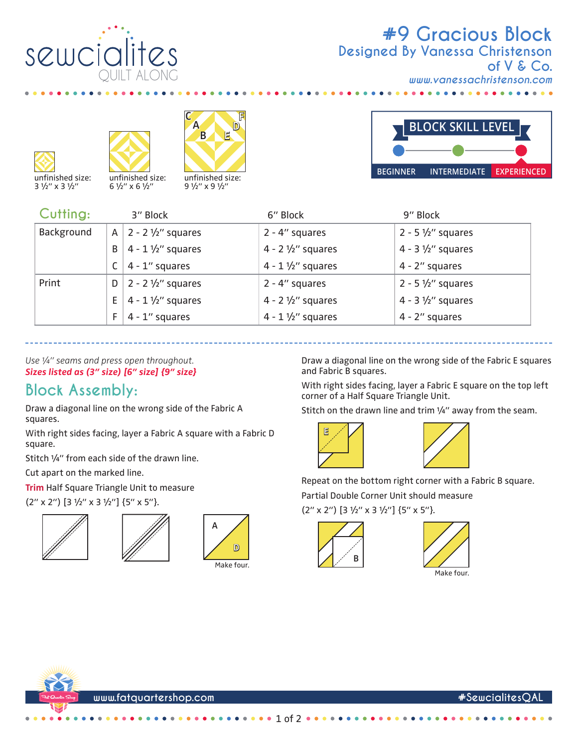

## **#9 Gracious Block** *www.vanessachristenson.com* **Designed By Vanessa Christenson of V & Co.**







unfinished size: 9 1/2" x 9 1/2"



 $\bullet$   $\bullet$   $\bullet$  $\blacksquare$ 

| Cutting:   |    | 3" Block                           | 6" Block                     | 9" Block                     |
|------------|----|------------------------------------|------------------------------|------------------------------|
| Background |    | A   2 - 2 $\frac{1}{2}$ " squares  | $2 - 4''$ squares            | $2 - 5 \frac{1}{2}$ squares  |
|            | B  | $4 - 1 \frac{1}{2}$ squares        | 4 - $2\frac{1}{2}$ " squares | 4 - $3\frac{1}{2}$ " squares |
|            |    | $ 4 - 1"$ squares                  | $4 - 1 \frac{1}{2}$ squares  | 4 - 2" squares               |
| Print      |    | $D \mid 2 - 2 \frac{1}{2}$ squares | $2 - 4$ " squares            | $2 - 5 \frac{1}{2}$ squares  |
|            | E. | $4 - 1 \frac{1}{2}$ squares        | 4 - 2 $1/2$ " squares        | $4 - 3 \frac{1}{2}$ squares  |
|            | F. | $4 - 1$ " squares                  | $4 - 1 \frac{1}{2}$ squares  | 4 - 2" squares               |

*Use ¼" seams and press open throughout. Sizes listed as (3" size) [6" size] {9" size}*

## **Block Assembly:**

Draw a diagonal line on the wrong side of the Fabric A squares.

With right sides facing, layer a Fabric A square with a Fabric D square.

Stitch ¼" from each side of the drawn line.

Cut apart on the marked line.

**Trim** Half Square Triangle Unit to measure

 $(2'' \times 2'')$  [3 1/2" x 3 1/2"] {5" x 5"}.







Draw a diagonal line on the wrong side of the Fabric E squares and Fabric B squares.

With right sides facing, layer a Fabric E square on the top left corner of a Half Square Triangle Unit.

Stitch on the drawn line and trim 1/4" away from the seam.





Repeat on the bottom right corner with a Fabric B square.

Partial Double Corner Unit should measure

 $(2'' \times 2'')$  [3 1/2" x 3 1/2"] {5" x 5"}.